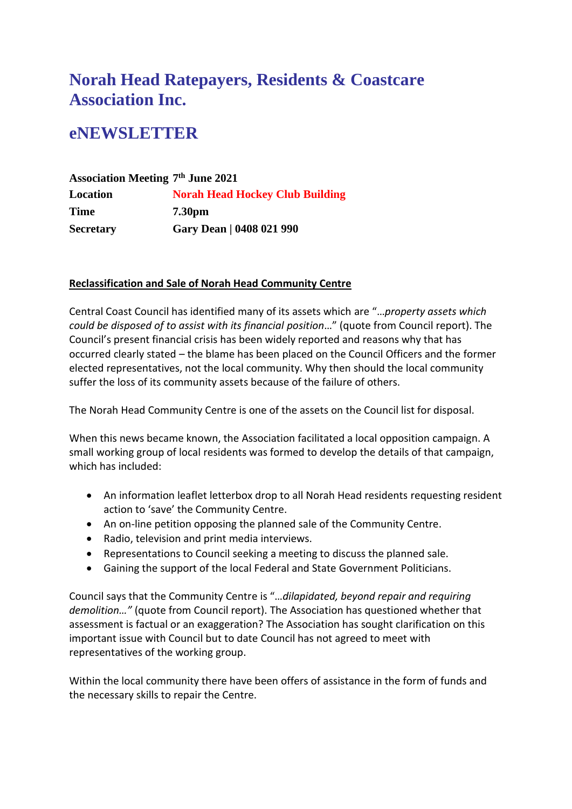# **Norah Head Ratepayers, Residents & Coastcare Association Inc.**

# **eNEWSLETTER**

| <b>Association Meeting 7th June 2021</b> |                                        |
|------------------------------------------|----------------------------------------|
| Location                                 | <b>Norah Head Hockey Club Building</b> |
| Time                                     | 7.30 <sub>pm</sub>                     |
| <b>Secretary</b>                         | Gary Dean   0408 021 990               |

## **Reclassification and Sale of Norah Head Community Centre**

Central Coast Council has identified many of its assets which are "…*property assets which could be disposed of to assist with its financial position*…" (quote from Council report). The Council's present financial crisis has been widely reported and reasons why that has occurred clearly stated – the blame has been placed on the Council Officers and the former elected representatives, not the local community. Why then should the local community suffer the loss of its community assets because of the failure of others.

The Norah Head Community Centre is one of the assets on the Council list for disposal.

When this news became known, the Association facilitated a local opposition campaign. A small working group of local residents was formed to develop the details of that campaign, which has included:

- An information leaflet letterbox drop to all Norah Head residents requesting resident action to 'save' the Community Centre.
- An on-line petition opposing the planned sale of the Community Centre.
- Radio, television and print media interviews.
- Representations to Council seeking a meeting to discuss the planned sale.
- Gaining the support of the local Federal and State Government Politicians.

Council says that the Community Centre is "…*dilapidated, beyond repair and requiring demolition…"* (quote from Council report). The Association has questioned whether that assessment is factual or an exaggeration? The Association has sought clarification on this important issue with Council but to date Council has not agreed to meet with representatives of the working group.

Within the local community there have been offers of assistance in the form of funds and the necessary skills to repair the Centre.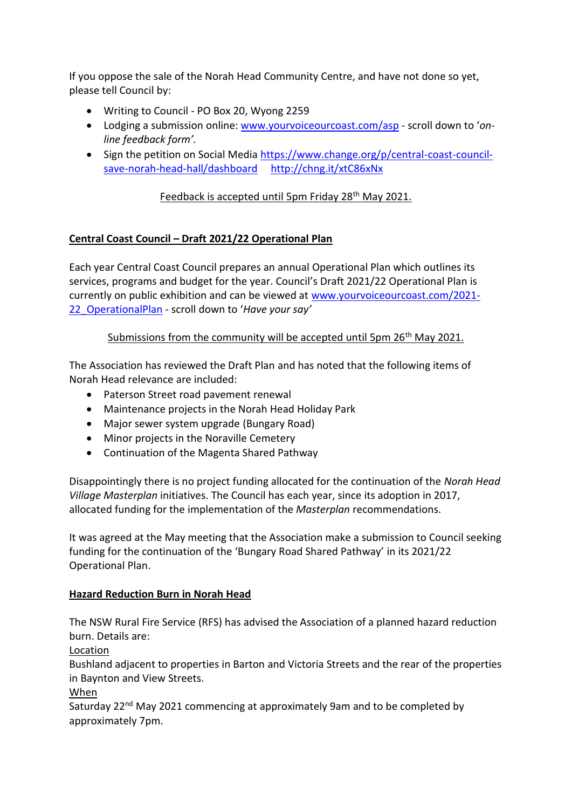If you oppose the sale of the Norah Head Community Centre, and have not done so yet, please tell Council by:

- Writing to Council PO Box 20, Wyong 2259
- Lodging a submission online[: www.yourvoiceourcoast.com/asp](http://www.yourvoiceourcoast.com/asp) scroll down to '*online feedback form'.*
- Sign the petition on Social Media [https://www.change.org/p/central-coast-council](https://www.change.org/p/central-coast-council-save-norah-head-hall/dashboard)[save-norah-head-hall/dashboard](https://www.change.org/p/central-coast-council-save-norah-head-hall/dashboard) <http://chng.it/xtC86xNx>

## Feedback is accepted until 5pm Friday 28<sup>th</sup> May 2021.

### **Central Coast Council – Draft 2021/22 Operational Plan**

Each year Central Coast Council prepares an annual Operational Plan which outlines its services, programs and budget for the year. Council's Draft 2021/22 Operational Plan is currently on public exhibition and can be viewed at [www.yourvoiceourcoast.com/2021-](http://www.yourvoiceourcoast.com/2021-22_OperationalPlan) [22\\_OperationalPlan](http://www.yourvoiceourcoast.com/2021-22_OperationalPlan) - scroll down to '*Have your say'*

### Submissions from the community will be accepted until 5pm 26<sup>th</sup> May 2021.

The Association has reviewed the Draft Plan and has noted that the following items of Norah Head relevance are included:

- Paterson Street road pavement renewal
- Maintenance projects in the Norah Head Holiday Park
- Major sewer system upgrade (Bungary Road)
- Minor projects in the Noraville Cemetery
- Continuation of the Magenta Shared Pathway

Disappointingly there is no project funding allocated for the continuation of the *Norah Head Village Masterplan* initiatives. The Council has each year, since its adoption in 2017, allocated funding for the implementation of the *Masterplan* recommendations.

It was agreed at the May meeting that the Association make a submission to Council seeking funding for the continuation of the 'Bungary Road Shared Pathway' in its 2021/22 Operational Plan.

#### **Hazard Reduction Burn in Norah Head**

The NSW Rural Fire Service (RFS) has advised the Association of a planned hazard reduction burn. Details are:

Location

Bushland adjacent to properties in Barton and Victoria Streets and the rear of the properties in Baynton and View Streets.

When

Saturday 22<sup>nd</sup> May 2021 commencing at approximately 9am and to be completed by approximately 7pm.